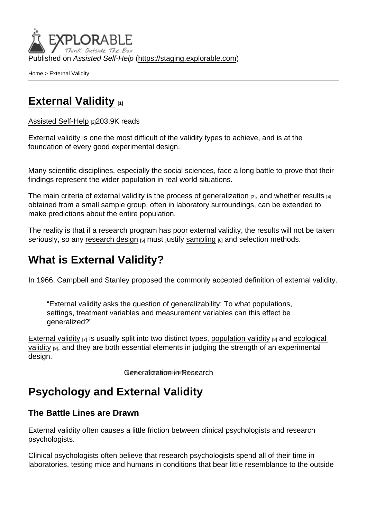Published on Assisted Self-Help [\(https://staging.explorable.com](https://staging.explorable.com))

[Home](https://staging.explorable.com/en) > External Validity

# [External Validity](https://staging.explorable.com/en/external-validity) [1]

[Assisted Self-Help](https://staging.explorable.com/en) [2]203.9K reads

External validity is one the most difficult of the validity types to achieve, and is at the foundation of every good experimental design.

Many scientific disciplines, especially the social sciences, face a long battle to prove that their findings represent the wider population in real world situations.

The main criteria of external validity is the process of [generalization](https://staging.explorable.com/what-is-generalization) [3], and whether [results](https://staging.explorable.com/statistically-significant-results) [4] obtained from a small sample group, often in laboratory surroundings, can be extended to make predictions about the entire population.

The reality is that if a research program has poor external validity, the results will not be taken seriously, so any [research design](https://staging.explorable.com/research-designs)  $_{[5]}$  must justify [sampling](https://staging.explorable.com/what-is-sampling)  $_{[6]}$  and selection methods.

### What is External Validity?

In 1966, Campbell and Stanley proposed the commonly accepted definition of external validity.

"External validity asks the question of generalizability: To what populations, settings, treatment variables and measurement variables can this effect be generalized?"

[External validity](http://www.socialresearchmethods.net/kb/external.php)  $[7]$  is usually split into two distinct types, [population validity](https://staging.explorable.com/population-validity)  $[8]$  and ecological [validity](https://staging.explorable.com/ecological-validity) [9], and they are both essential elements in judging the strength of an experimental design.

Generalization in Research

### Psychology and External Validity

The Battle Lines are Drawn

External validity often causes a little friction between clinical psychologists and research psychologists.

Clinical psychologists often believe that research psychologists spend all of their time in laboratories, testing mice and humans in conditions that bear little resemblance to the outside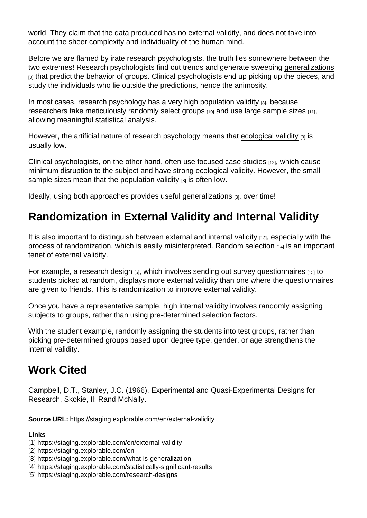world. They claim that the data produced has no external validity, and does not take into account the sheer complexity and individuality of the human mind.

Before we are flamed by irate research psychologists, the truth lies somewhere between the two extremes! Research psychologists find out trends and generate sweeping [generalizations](https://staging.explorable.com/what-is-generalization) [3] that predict the behavior of groups. Clinical psychologists end up picking up the pieces, and study the individuals who lie outside the predictions, hence the animosity.

In most cases, research psychology has a very high [population validity](https://staging.explorable.com/population-validity) [8], because researchers take meticulously [randomly select groups](https://staging.explorable.com/simple-random-sampling) [10] and use large [sample sizes](https://staging.explorable.com/statistical-significance-sample-size) [11], allowing meaningful statistical analysis.

However, the artificial nature of research psychology means that [ecological validity](https://staging.explorable.com/ecological-validity) [9] is usually low.

Clinical psychologists, on the other hand, often use focused [case studies](https://staging.explorable.com/case-study-research-design)  $[12]$ , which cause minimum disruption to the subject and have strong ecological validity. However, the small sample sizes mean that the [population validity](https://staging.explorable.com/population-validity)  $[8]$  is often low.

Ideally, using both approaches provides useful [generalizations](https://staging.explorable.com/what-is-generalization) [3], over time!

# Randomization in External Validity and Internal Validity

It is also important to distinguish between external and [internal validity](https://staging.explorable.com/internal-validity) [13], especially with the process of randomization, which is easily misinterpreted. [Random selection](https://staging.explorable.com/random-sampling-error) [14] is an important tenet of external validity.

For example, a [research design](https://staging.explorable.com/research-designs)  $[5]$ , which involves sending out [survey questionnaires](https://staging.explorable.com/survey-research-design)  $[15]$  to students picked at random, displays more external validity than one where the questionnaires are given to friends. This is randomization to improve external validity.

Once you have a representative sample, high internal validity involves randomly assigning subjects to groups, rather than using pre-determined selection factors.

With the student example, randomly assigning the students into test groups, rather than picking pre-determined groups based upon degree type, gender, or age strengthens the internal validity.

### Work Cited

Campbell, D.T., Stanley, J.C. (1966). Experimental and Quasi-Experimental Designs for Research. Skokie, Il: Rand McNally.

Source URL: https://staging.explorable.com/en/external-validity

Links

<sup>[1]</sup> https://staging.explorable.com/en/external-validity

<sup>[2]</sup> https://staging.explorable.com/en

<sup>[3]</sup> https://staging.explorable.com/what-is-generalization

<sup>[4]</sup> https://staging.explorable.com/statistically-significant-results

<sup>[5]</sup> https://staging.explorable.com/research-designs